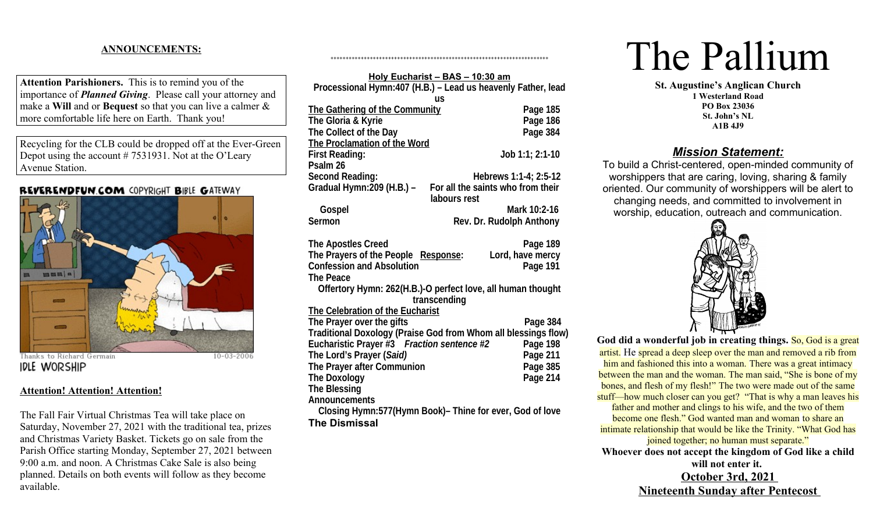# **ANNOUNCEMENTS:**

**Attention Parishioners.** This is to remind you of the importance of *Planned Giving*. Please call your attorney and make a **Will** and or **Bequest** so that you can live a calmer & more comfortable life here on Earth. Thank you!

Recycling for the CLB could be dropped off at the Ever-Green Depot using the account # 7531931. Not at the O'Leary Avenue Station.

# **REVERENDFUN.COM COPYRIGHT BIBLE GATEWAY**



**IDLE WORSHIP** 

# **Attention! Attention! Attention!**

The Fall Fair Virtual Christmas Tea will take place on Saturday, November 27, 2021 with the traditional tea, prizes and Christmas Variety Basket. Tickets go on sale from the Parish Office starting Monday, September 27, 2021 between 9:00 a.m. and noon. A Christmas Cake Sale is also being planned. Details on both events will follow as they become available.

| Holy Eucharist - BAS - 10:30 am                              |                                                                |  |  |  |
|--------------------------------------------------------------|----------------------------------------------------------------|--|--|--|
| Processional Hymn:407 (H.B.) - Lead us heavenly Father, lead |                                                                |  |  |  |
|                                                              | <b>US</b>                                                      |  |  |  |
| The Gathering of the Community                               | Page 185                                                       |  |  |  |
| The Gloria & Kyrie                                           | <b>Page 186</b>                                                |  |  |  |
| The Collect of the Day<br>The Proclamation of the Word       | Page 384                                                       |  |  |  |
| <b>First Reading:</b>                                        | Job 1:1; 2:1-10                                                |  |  |  |
| Psalm 26                                                     |                                                                |  |  |  |
| <b>Second Reading:</b>                                       | Hebrews 1:1-4; 2:5-12                                          |  |  |  |
| Gradual Hymn: 209 (H.B.) -                                   | For all the saints who from their                              |  |  |  |
|                                                              | labours rest                                                   |  |  |  |
| Gospel                                                       | Mark 10:2-16                                                   |  |  |  |
| <b>Sermon</b>                                                | Rev. Dr. Rudolph Anthony                                       |  |  |  |
|                                                              |                                                                |  |  |  |
| <b>The Apostles Creed</b>                                    | Page 189                                                       |  |  |  |
| The Prayers of the People Response:                          | Lord, have mercy                                               |  |  |  |
| <b>Confession and Absolution</b>                             | Page 191                                                       |  |  |  |
| <b>The Peace</b>                                             |                                                                |  |  |  |
| Offertory Hymn: 262(H.B.)-O perfect love, all human thought  |                                                                |  |  |  |
| transcending                                                 |                                                                |  |  |  |
| The Celebration of the Eucharist                             |                                                                |  |  |  |
| The Prayer over the gifts                                    | Page 384                                                       |  |  |  |
|                                                              | Traditional Doxology (Praise God from Whom all blessings flow) |  |  |  |
| Eucharistic Prayer #3 Fraction sentence #2                   | Page 198                                                       |  |  |  |
| The Lord's Prayer (Said)                                     | Page 211                                                       |  |  |  |
| The Prayer after Communion                                   | Page 385                                                       |  |  |  |
| <b>The Doxology</b>                                          | Page 214                                                       |  |  |  |
| <b>The Blessing</b>                                          |                                                                |  |  |  |
| <b>Announcements</b>                                         |                                                                |  |  |  |
|                                                              | Closing Hymn:577(Hymn Book)– Thine for ever, God of love       |  |  |  |
| <b>The Dismissal</b>                                         |                                                                |  |  |  |

++++++++++++++++++++++++++++++++++++++++++++++++++++++++++++++++++++++++

# The Pallium

**St. Augustine's Anglican Church 1 Westerland Road PO Box 23036 St. John's NL A1B 4J9**

# *Mission Statement:*

To build a Christ-centered, open-minded community of worshippers that are caring, loving, sharing & family oriented. Our community of worshippers will be alert to changing needs, and committed to involvement in worship, education, outreach and communication.



God did a wonderful job in creating things. So, God is a great artist. He spread a deep sleep over the man and removed a rib from him and fashioned this into a woman. There was a great intimacy between the man and the woman. The man said, "She is bone of my bones, and flesh of my flesh!" The two were made out of the same stuff—how much closer can you get? "That is why a man leaves his father and mother and clings to his wife, and the two of them become one flesh." God wanted man and woman to share an intimate relationship that would be like the Trinity. "What God has joined together; no human must separate." **Whoever does not accept the kingdom of God like a child will not enter it. October 3rd, 2021 Nineteenth Sunday after Pentecost**